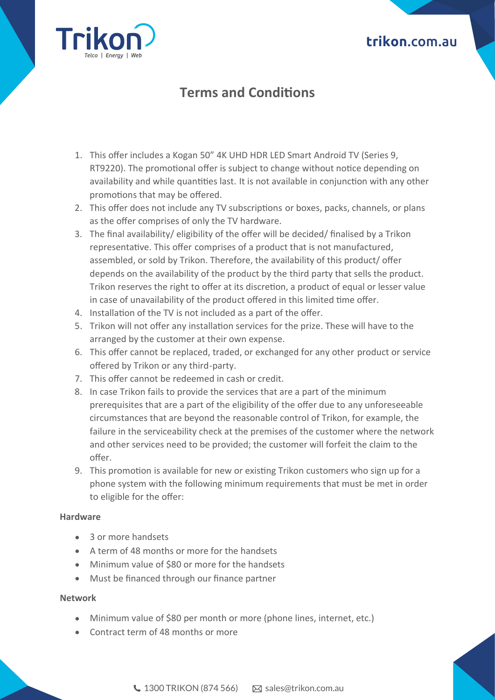## **trikon**.com.au



# **Terms and Condi�ons**

- 1. This offer includes a Kogan 50" 4K UHD HDR LED Smart Android TV (Series 9, RT9220). The promotional offer is subject to change without notice depending on availability and while quantities last. It is not available in conjunction with any other promotions that may be offered.
- 2. This offer does not include any TV subscriptions or boxes, packs, channels, or plans as the offer comprises of only the TV hardware.
- 3. The final availability/ eligibility of the offer will be decided/ finalised by a Trikon representative. This offer comprises of a product that is not manufactured, assembled, or sold by Trikon. Therefore, the availability of this product/ offer depends on the availability of the product by the third party that sells the product. Trikon reserves the right to offer at its discretion, a product of equal or lesser value in case of unavailability of the product offered in this limited time offer.
- 4. Installation of the TV is not included as a part of the offer.
- 5. Trikon will not offer any installation services for the prize. These will have to the arranged by the customer at their own expense.
- 6. This offer cannot be replaced, traded, or exchanged for any other product or service offered by Trikon or any third-party.
- 7. This offer cannot be redeemed in cash or credit.
- 8. In case Trikon fails to provide the services that are a part of the minimum prerequisites that are a part of the eligibility of the offer due to any unforeseeable circumstances that are beyond the reasonable control of Trikon, for example, the failure in the serviceability check at the premises of the customer where the network and other services need to be provided; the customer will forfeit the claim to the offer.
- 9. This promotion is available for new or existing Trikon customers who sign up for a phone system with the following minimum requirements that must be met in order to eligible for the offer:

### **Hardware**

- 3 or more handsets
- A term of 48 months or more for the handsets
- Minimum value of \$80 or more for the handsets
- Must be financed through our finance partner

#### **Network**

- Minimum value of \$80 per month or more (phone lines, internet, etc.)
- Contract term of 48 months or more

 $\bigcup$  1300 TRIKON (874 566)  $\qquad \qquad \boxtimes$  sales@trikon.com.au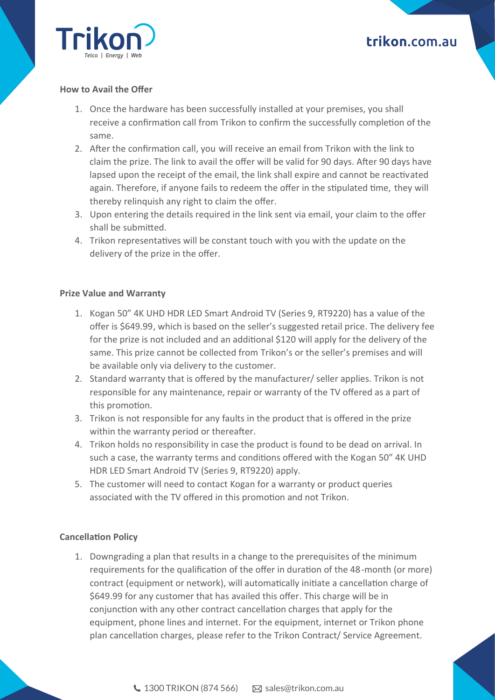

# **trikon**.com.au

### **How to Avail the Offer**

- 1. Once the hardware has been successfully installed at your premises, you shall receive a confirmation call from Trikon to confirm the successfully completion of the same.
- 2. After the confirmation call, you will receive an email from Trikon with the link to claim the prize. The link to avail the offer will be valid for 90 days. After 90 days have lapsed upon the receipt of the email, the link shall expire and cannot be reactivated again. Therefore, if anyone fails to redeem the offer in the stipulated time, they will thereby relinquish any right to claim the offer.
- 3. Upon entering the details required in the link sent via email, your claim to the offer shall be submitted.
- 4. Trikon representatives will be constant touch with you with the update on the delivery of the prize in the offer.

#### **Prize Value and Warranty**

- 1. Kogan 50" 4K UHD HDR LED Smart Android TV (Series 9, RT9220) has a value of the offer is \$649.99, which is based on the seller's suggested retail price. The delivery fee for the prize is not included and an additional \$120 will apply for the delivery of the same. This prize cannot be collected from Trikon's or the seller's premises and will be available only via delivery to the customer.
- 2. Standard warranty that is offered by the manufacturer/ seller applies. Trikon is not responsible for any maintenance, repair or warranty of the TV offered as a part of this promotion.
- 3. Trikon is not responsible for any faults in the product that is offered in the prize within the warranty period or thereafter.
- 4. Trikon holds no responsibility in case the product is found to be dead on arrival. In such a case, the warranty terms and conditions offered with the Kogan 50" 4K UHD HDR LED Smart Android TV (Series 9, RT9220) apply.
- 5. The customer will need to contact Kogan for a warranty or product queries associated with the TV offered in this promotion and not Trikon.

#### **Cancella�on Policy**

1. Downgrading a plan that results in a change to the prerequisites of the minimum requirements for the qualification of the offer in duration of the 48-month (or more) contract (equipment or network), will automatically initiate a cancellation charge of \$649.99 for any customer that has availed this offer. This charge will be in conjunction with any other contract cancellation charges that apply for the equipment, phone lines and internet. For the equipment, internet or Trikon phone plan cancellation charges, please refer to the Trikon Contract/ Service Agreement.